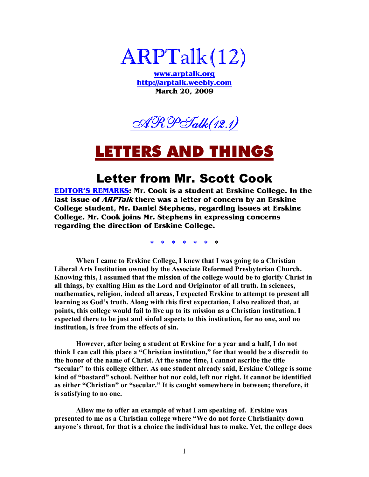

**www.arptalk.org http://arptalk.weebly.com March 20, 2009** 



## <u>ERS AND THINGS</u>

### Letter from Mr. Scott Cook

**EDITOR'S REMARKS: Mr. Cook is a student at Erskine College. In the last issue of ARPTalk there was a letter of concern by an Erskine College student, Mr. Daniel Stephens, regarding issues at Erskine College. Mr. Cook joins Mr. Stephens in expressing concerns regarding the direction of Erskine College.** 

**\* \* \* \* \* \* \*** 

 **When I came to Erskine College, I knew that I was going to a Christian Liberal Arts Institution owned by the Associate Reformed Presbyterian Church. Knowing this, I assumed that the mission of the college would be to glorify Christ in all things, by exalting Him as the Lord and Originator of all truth. In sciences, mathematics, religion, indeed all areas, I expected Erskine to attempt to present all learning as God's truth. Along with this first expectation, I also realized that, at points, this college would fail to live up to its mission as a Christian institution. I expected there to be just and sinful aspects to this institution, for no one, and no institution, is free from the effects of sin.** 

 **However, after being a student at Erskine for a year and a half, I do not think I can call this place a "Christian institution," for that would be a discredit to the honor of the name of Christ. At the same time, I cannot ascribe the title "secular" to this college either. As one student already said, Erskine College is some**  kind of "bastard" school. Neither hot nor cold, left nor right. It cannot be identified **as either "Christian" or "secular." It is caught somewhere in between; therefore, it is satisfying to no one.** 

 **Allow me to offer an example of what I am speaking of. Erskine was presented to me as a Christian college where "We do not force Christianity down anyone's throat, for that is a choice the individual has to make. Yet, the college does**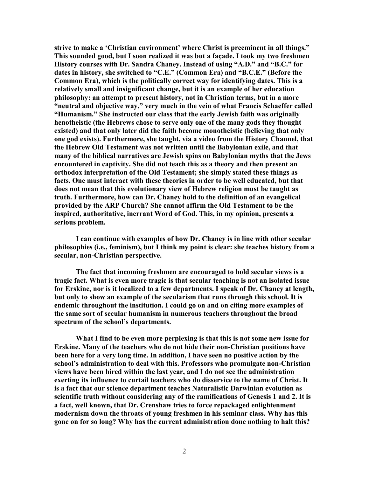**strive to make a 'Christian environment' where Christ is preeminent in all things." This sounded good, but I soon realized it was but a façade. I took my two freshmen History courses with Dr. Sandra Chaney. Instead of using "A.D." and "B.C." for dates in history, she switched to "C.E." (Common Era) and "B.C.E." (Before the Common Era), which is the politically correct way for identifying dates. This is a relatively small and insignificant change, but it is an example of her education philosophy: an attempt to present history, not in Christian terms, but in a more "neutral and objective way," very much in the vein of what Francis Schaeffer called "Humanism." She instructed our class that the early Jewish faith was originally henotheistic (the Hebrews chose to serve only one of the many gods they thought existed) and that only later did the faith become monotheistic (believing that only one god exists). Furthermore, she taught, via a video from the History Channel, that the Hebrew Old Testament was not written until the Babylonian exile, and that many of the biblical narratives are Jewish spins on Babylonian myths that the Jews encountered in captivity. She did not teach this as a theory and then present an orthodox interpretation of the Old Testament; she simply stated these things as facts. One must interact with these theories in order to be well educated, but that does not mean that this evolutionary view of Hebrew religion must be taught as truth. Furthermore, how can Dr. Chaney hold to the definition of an evangelical provided by the ARP Church? She cannot affirm the Old Testament to be the inspired, authoritative, inerrant Word of God. This, in my opinion, presents a serious problem.** 

**I can continue with examples of how Dr. Chaney is in line with other secular philosophies (i.e., feminism), but I think my point is clear: she teaches history from a secular, non-Christian perspective.** 

 **The fact that incoming freshmen are encouraged to hold secular views is a tragic fact. What is even more tragic is that secular teaching is not an isolated issue for Erskine, nor is it localized to a few departments. I speak of Dr. Chaney at length, but only to show an example of the secularism that runs through this school. It is endemic throughout the institution. I could go on and on citing more examples of the same sort of secular humanism in numerous teachers throughout the broad spectrum of the school's departments.** 

 **What I find to be even more perplexing is that this is not some new issue for Erskine. Many of the teachers who do not hide their non-Christian positions have been here for a very long time. In addition, I have seen no positive action by the school's administration to deal with this. Professors who promulgate non-Christian views have been hired within the last year, and I do not see the administration exerting its influence to curtail teachers who do disservice to the name of Christ. It**  is a fact that our science department teaches Naturalistic Darwinian evolution as **scientific truth without considering any of the ramifications of Genesis 1 and 2. It is a fact, well known, that Dr. Crenshaw tries to force repackaged enlightenment modernism down the throats of young freshmen in his seminar class. Why has this gone on for so long? Why has the current administration done nothing to halt this?**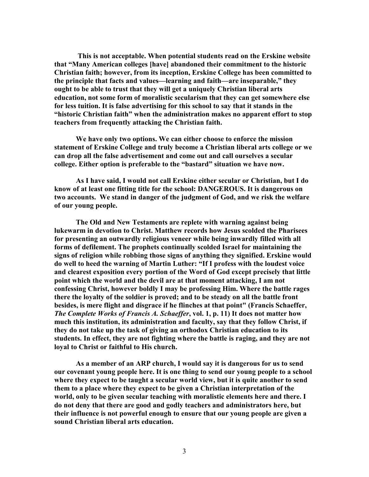**This is not acceptable. When potential students read on the Erskine website that "Many American colleges [have] abandoned their commitment to the historic Christian faith; however, from its inception, Erskine College has been committed to the principle that facts and values—learning and faith—are inseparable," they ought to be able to trust that they will get a uniquely Christian liberal arts education, not some form of moralistic secularism that they can get somewhere else for less tuition. It is false advertising for this school to say that it stands in the "historic Christian faith" when the administration makes no apparent effort to stop teachers from frequently attacking the Christian faith.** 

 **We have only two options. We can either choose to enforce the mission statement of Erskine College and truly become a Christian liberal arts college or we can drop all the false advertisement and come out and call ourselves a secular college. Either option is preferable to the "bastard" situation we have now.** 

 **As I have said, I would not call Erskine either secular or Christian, but I do know of at least one fitting title for the school: DA,GEROUS. It is dangerous on two accounts. We stand in danger of the judgment of God, and we risk the welfare of our young people.** 

The Old and New Testaments are replete with warning against being **lukewarm in devotion to Christ. Matthew records how Jesus scolded the Pharisees for presenting an outwardly religious veneer while being inwardly filled with all forms of defilement. The prophets continually scolded Israel for maintaining the signs of religion while robbing those signs of anything they signified. Erskine would do well to heed the warning of Martin Luther: "If I profess with the loudest voice and clearest exposition every portion of the Word of God except precisely that little point which the world and the devil are at that moment attacking, I am not confessing Christ, however boldly I may be professing Him. Where the battle rages there the loyalty of the soldier is proved; and to be steady on all the battle front besides, is mere flight and disgrace if he flinches at that point" (Francis Schaeffer,**  *The Complete Works of Francis A. Schaeffer***, vol. 1, p. 11) It does not matter how much this institution, its administration and faculty, say that they follow Christ, if they do not take up the task of giving an orthodox Christian education to its students. In effect, they are not fighting where the battle is raging, and they are not loyal to Christ or faithful to His church.** 

 **As a member of an ARP church, I would say it is dangerous for us to send our covenant young people here. It is one thing to send our young people to a school where they expect to be taught a secular world view, but it is quite another to send them to a place where they expect to be given a Christian interpretation of the world, only to be given secular teaching with moralistic elements here and there. I do not deny that there are good and godly teachers and administrators here, but their influence is not powerful enough to ensure that our young people are given a sound Christian liberal arts education.**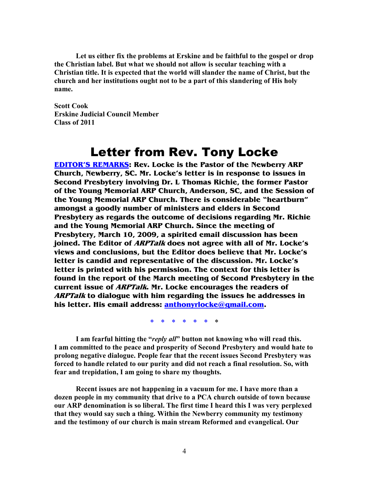**Let us either fix the problems at Erskine and be faithful to the gospel or drop the Christian label. But what we should not allow is secular teaching with a Christian title. It is expected that the world will slander the name of Christ, but the church and her institutions ought not to be a part of this slandering of His holy name.** 

**Scott Cook Erskine Judicial Council Member Class of 2011** 

### Letter from Rev. Tony Locke

**EDITOR'S REMARKS: Rev. Locke is the Pastor of the Newberry ARP Church, Newberry, SC. Mr. Locke's letter is in response to issues in Second Presbytery involving Dr. L Thomas Richie, the former Pastor of the Young Memorial ARP Church, Anderson, SC, and the Session of the Young Memorial ARP Church. There is considerable "heartburn" amongst a goodly number of ministers and elders in Second Presbytery as regards the outcome of decisions regarding Mr. Richie and the Young Memorial ARP Church. Since the meeting of Presbytery, March 10, 2009, a spirited email discussion has been joined. The Editor of ARPTalk does not agree with all of Mr. Locke's views and conclusions, but the Editor does believe that Mr. Locke's letter is candid and representative of the discussion. Mr. Locke's letter is printed with his permission. The context for this letter is found in the report of the March meeting of Second Presbytery in the current issue of ARPTalk. Mr. Locke encourages the readers of ARPTalk to dialogue with him regarding the issues he addresses in his letter. His email address: anthonyrlocke@gmail.com.** 

**\* \* \* \* \* \* \*** 

**I am fearful hitting the "***reply all***" button not knowing who will read this. I am committed to the peace and prosperity of Second Presbytery and would hate to prolong negative dialogue. People fear that the recent issues Second Presbytery was forced to handle related to our purity and did not reach a final resolution. So, with fear and trepidation, I am going to share my thoughts.** 

**Recent issues are not happening in a vacuum for me. I have more than a dozen people in my community that drive to a PCA church outside of town because our ARP denomination is so liberal. The first time I heard this I was very perplexed**  that they would say such a thing. Within the Newberry community my testimony **and the testimony of our church is main stream Reformed and evangelical. Our**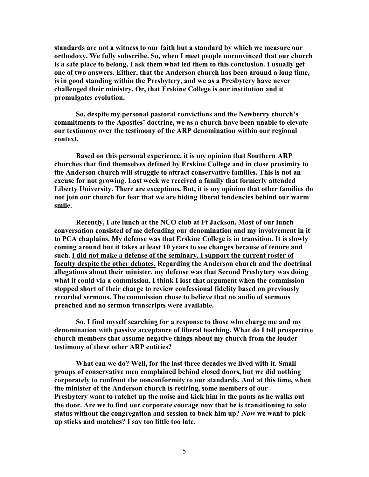**standards are not a witness to our faith but a standard by which we measure our orthodoxy. We fully subscribe. So, when I meet people unconvinced that our church is a safe place to belong, I ask them what led them to this conclusion. I usually get one of two answers. Either, that the Anderson church has been around a long time, is in good standing within the Presbytery, and we as a Presbytery have never challenged their ministry. Or, that Erskine College is our institution and it promulgates evolution.** 

**So, despite my personal pastoral convictions and the Newberry church's commitments to the Apostles' doctrine, we as a church have been unable to elevate our testimony over the testimony of the ARP denomination within our regional context.** 

 **Based on this personal experience, it is my opinion that Southern ARP churches that find themselves defined by Erskine College and in close proximity to the Anderson church will struggle to attract conservative families. This is not an excuse for not growing. Last week we received a family that formerly attended Liberty University. There are exceptions. But, it is my opinion that other families do not join our church for fear that we are hiding liberal tendencies behind our warm smile.** 

Recently, I ate lunch at the NCO club at Ft Jackson. Most of our lunch **conversation consisted of me defending our denomination and my involvement in it to PCA chaplains. My defense was that Erskine College is in transition. It is slowly coming around but it takes at least 10 years to see changes because of tenure and such. I did not make a defense of the seminary. I support the current roster of faculty despite the other debates. Regarding the Anderson church and the doctrinal allegations about their minister, my defense was that Second Presbytery was doing what it could via a commission. I think I lost that argument when the commission stopped short of their charge to review confessional fidelity based on previously recorded sermons. The commission chose to believe that no audio of sermons preached and no sermon transcripts were available.** 

**So, I find myself searching for a response to those who charge me and my denomination with passive acceptance of liberal teaching. What do I tell prospective church members that assume negative things about my church from the louder testimony of these other ARP entities?** 

**What can we do? Well, for the last three decades we lived with it. Small groups of conservative men complained behind closed doors, but we did nothing corporately to confront the nonconformity to our standards. And at this time, when the minister of the Anderson church is retiring, some members of our Presbytery want to ratchet up the noise and kick him in the pants as he walks out the door. Are we to find our corporate courage now that he is transitioning to solo**  status without the congregation and session to back him up? Now we want to pick **up sticks and matches? I say too little too late.**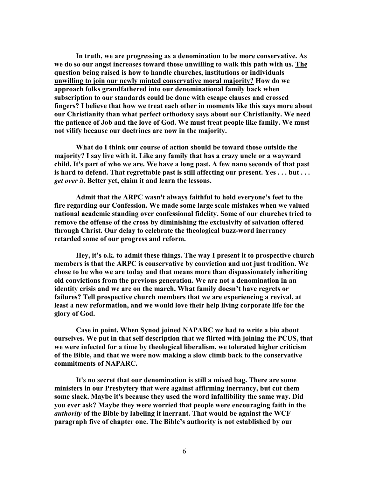**In truth, we are progressing as a denomination to be more conservative. As we do so our angst increases toward those unwilling to walk this path with us. The question being raised is how to handle churches, institutions or individuals unwilling to join our newly minted conservative moral majority? How do we approach folks grandfathered into our denominational family back when subscription to our standards could be done with escape clauses and crossed fingers? I believe that how we treat each other in moments like this says more about our Christianity than what perfect orthodoxy says about our Christianity. We need the patience of Job and the love of God. We must treat people like family. We must not vilify because our doctrines are now in the majority.** 

**What do I think our course of action should be toward those outside the majority? I say live with it. Like any family that has a crazy uncle or a wayward child. It's part of who we are. We have a long past. A few nano seconds of that past is hard to defend. That regrettable past is still affecting our present. Yes . . . but . . .**  *get over it***. Better yet, claim it and learn the lessons.** 

**Admit that the ARPC wasn't always faithful to hold everyone's feet to the fire regarding our Confession. We made some large scale mistakes when we valued national academic standing over confessional fidelity. Some of our churches tried to remove the offense of the cross by diminishing the exclusivity of salvation offered through Christ. Our delay to celebrate the theological buzz-word inerrancy retarded some of our progress and reform.** 

**Hey, it's o.k. to admit these things. The way I present it to prospective church members is that the ARPC is conservative by conviction and not just tradition. We chose to be who we are today and that means more than dispassionately inheriting old convictions from the previous generation. We are not a denomination in an identity crisis and we are on the march. What family doesn't have regrets or failures? Tell prospective church members that we are experiencing a revival, at least a new reformation, and we would love their help living corporate life for the glory of God.** 

Case in point. When Synod joined NAPARC we had to write a bio about **ourselves. We put in that self description that we flirted with joining the PCUS, that we were infected for a time by theological liberalism, we tolerated higher criticism of the Bible, and that we were now making a slow climb back to the conservative**  commitments of NAPARC.

**It's no secret that our denomination is still a mixed bag. There are some ministers in our Presbytery that were against affirming inerrancy, but cut them some slack. Maybe it's because they used the word infallibility the same way. Did you ever ask? Maybe they were worried that people were encouraging faith in the**  *authority* **of the Bible by labeling it inerrant. That would be against the WCF paragraph five of chapter one. The Bible's authority is not established by our**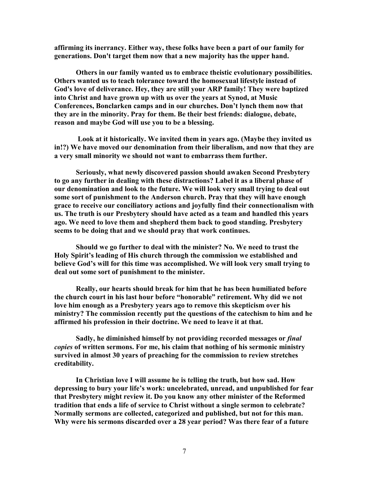**affirming its inerrancy. Either way, these folks have been a part of our family for generations. Don't target them now that a new majority has the upper hand.** 

**Others in our family wanted us to embrace theistic evolutionary possibilities. Others wanted us to teach tolerance toward the homosexual lifestyle instead of God's love of deliverance. Hey, they are still your ARP family! They were baptized into Christ and have grown up with us over the years at Synod, at Music Conferences, Bonclarken camps and in our churches. Don't lynch them now that they are in the minority. Pray for them. Be their best friends: dialogue, debate, reason and maybe God will use you to be a blessing.**

 **Look at it historically. We invited them in years ago. (Maybe they invited us in!?) We have moved our denomination from their liberalism, and now that they are a very small minority we should not want to embarrass them further.** 

**Seriously, what newly discovered passion should awaken Second Presbytery to go any further in dealing with these distractions? Label it as a liberal phase of our denomination and look to the future. We will look very small trying to deal out some sort of punishment to the Anderson church. Pray that they will have enough grace to receive our conciliatory actions and joyfully find their connectionalism with us. The truth is our Presbytery should have acted as a team and handled this years ago. We need to love them and shepherd them back to good standing. Presbytery seems to be doing that and we should pray that work continues.** 

Should we go further to deal with the minister? No. We need to trust the **Holy Spirit's leading of His church through the commission we established and believe God's will for this time was accomplished. We will look very small trying to deal out some sort of punishment to the minister.** 

**Really, our hearts should break for him that he has been humiliated before the church court in his last hour before "honorable" retirement. Why did we not love him enough as a Presbytery years ago to remove this skepticism over his ministry? The commission recently put the questions of the catechism to him and he affirmed his profession in their doctrine. We need to leave it at that.** 

**Sadly, he diminished himself by not providing recorded messages or** *final copies* **of written sermons. For me, his claim that nothing of his sermonic ministry survived in almost 30 years of preaching for the commission to review stretches creditability.** 

**In Christian love I will assume he is telling the truth, but how sad. How depressing to bury your life's work: uncelebrated, unread, and unpublished for fear that Presbytery might review it. Do you know any other minister of the Reformed tradition that ends a life of service to Christ without a single sermon to celebrate?**  Normally sermons are collected, categorized and published, but not for this man. **Why were his sermons discarded over a 28 year period? Was there fear of a future**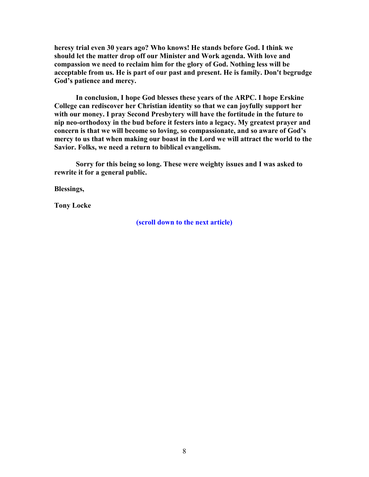**heresy trial even 30 years ago? Who knows! He stands before God. I think we should let the matter drop off our Minister and Work agenda. With love and**  compassion we need to reclaim him for the glory of God. Nothing less will be **acceptable from us. He is part of our past and present. He is family. Don't begrudge God's patience and mercy.** 

**In conclusion, I hope God blesses these years of the ARPC. I hope Erskine College can rediscover her Christian identity so that we can joyfully support her with our money. I pray Second Presbytery will have the fortitude in the future to nip neo-orthodoxy in the bud before it festers into a legacy. My greatest prayer and concern is that we will become so loving, so compassionate, and so aware of God's mercy to us that when making our boast in the Lord we will attract the world to the Savior. Folks, we need a return to biblical evangelism.** 

**Sorry for this being so long. These were weighty issues and I was asked to rewrite it for a general public.** 

**Blessings,** 

**Tony Locke** 

**(scroll down to the next article)**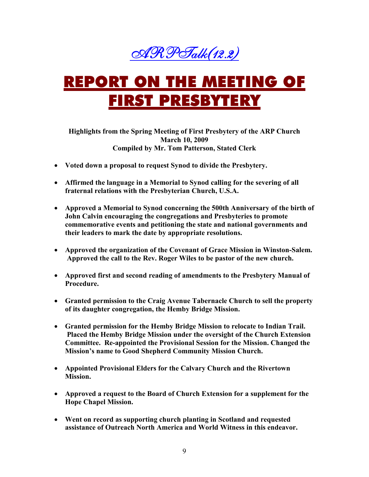

# REPORT ON THE MEETING OF RST PRESBYTERY

**Highlights from the Spring Meeting of First Presbytery of the ARP Church March 10, 2009 Compiled by Mr. Tom Patterson, Stated Clerk** 

- **Voted down a proposal to request Synod to divide the Presbytery.**
- **Affirmed the language in a Memorial to Synod calling for the severing of all fraternal relations with the Presbyterian Church, U.S.A.**
- **Approved a Memorial to Synod concerning the 500th Anniversary of the birth of John Calvin encouraging the congregations and Presbyteries to promote commemorative events and petitioning the state and national governments and their leaders to mark the date by appropriate resolutions.**
- **Approved the organization of the Covenant of Grace Mission in Winston-Salem. Approved the call to the Rev. Roger Wiles to be pastor of the new church.**
- **Approved first and second reading of amendments to the Presbytery Manual of Procedure.**
- **Granted permission to the Craig Avenue Tabernacle Church to sell the property of its daughter congregation, the Hemby Bridge Mission.**
- **Granted permission for the Hemby Bridge Mission to relocate to Indian Trail. Placed the Hemby Bridge Mission under the oversight of the Church Extension Committee. Re-appointed the Provisional Session for the Mission. Changed the Mission's name to Good Shepherd Community Mission Church.**
- **Appointed Provisional Elders for the Calvary Church and the Rivertown Mission.**
- **Approved a request to the Board of Church Extension for a supplement for the Hope Chapel Mission.**
- **Went on record as supporting church planting in Scotland and requested**  assistance of Outreach North America and World Witness in this endeavor.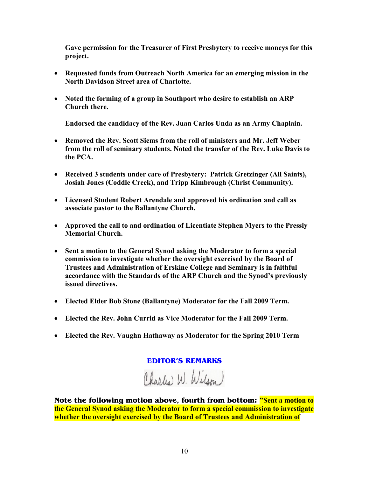**Gave permission for the Treasurer of First Presbytery to receive moneys for this project.** 

- Requested funds from Outreach North America for an emerging mission in the **North Davidson Street area of Charlotte.**
- Noted the forming of a group in Southport who desire to establish an ARP **Church there.**

**Endorsed the candidacy of the Rev. Juan Carlos Unda as an Army Chaplain.** 

- **Removed the Rev. Scott Siems from the roll of ministers and Mr. Jeff Weber**  from the roll of seminary students. Noted the transfer of the Rev. Luke Davis to **the PCA.**
- **Received 3 students under care of Presbytery: Patrick Gretzinger (All Saints), Josiah Jones (Coddle Creek), and Tripp Kimbrough (Christ Community).**
- **Licensed Student Robert Arendale and approved his ordination and call as associate pastor to the Ballantyne Church.**
- **Approved the call to and ordination of Licentiate Stephen Myers to the Pressly Memorial Church.**
- **Sent a motion to the General Synod asking the Moderator to form a special commission to investigate whether the oversight exercised by the Board of Trustees and Administration of Erskine College and Seminary is in faithful accordance with the Standards of the ARP Church and the Synod's previously issued directives.**
- **Elected Elder Bob Stone (Ballantyne) Moderator for the Fall 2009 Term.**
- **Elected the Rev. John Currid as Vice Moderator for the Fall 2009 Term.**
- **Elected the Rev. Vaughn Hathaway as Moderator for the Spring 2010 Term**

#### **EDITOR'S REMARKS**

Charles W. Wilson

**Note the following motion above, fourth from bottom: "Sent a motion to the General Synod asking the Moderator to form a special commission to investigate whether the oversight exercised by the Board of Trustees and Administration of**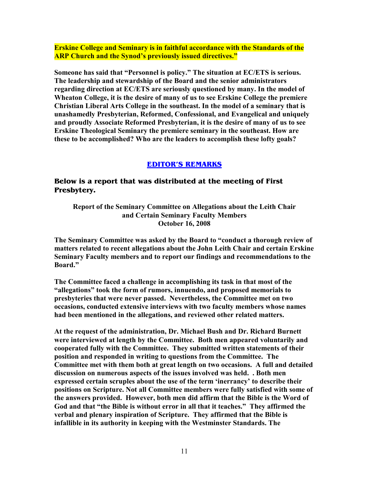**Erskine College and Seminary is in faithful accordance with the Standards of the ARP Church and the Synod's previously issued directives."** 

**Someone has said that "Personnel is policy." The situation at EC/ETS is serious. The leadership and stewardship of the Board and the senior administrators regarding direction at EC/ETS are seriously questioned by many. In the model of Wheaton College, it is the desire of many of us to see Erskine College the premiere Christian Liberal Arts College in the southeast. In the model of a seminary that is unashamedly Presbyterian, Reformed, Confessional, and Evangelical and uniquely and proudly Associate Reformed Presbyterian, it is the desire of many of us to see Erskine Theological Seminary the premiere seminary in the southeast. How are these to be accomplished? Who are the leaders to accomplish these lofty goals?** 

#### **EDITOR'S REMARKS**

#### **Below is a report that was distributed at the meeting of First Presbytery.**

**Report of the Seminary Committee on Allegations about the Leith Chair and Certain Seminary Faculty Members October 16, 2008** 

**The Seminary Committee was asked by the Board to "conduct a thorough review of matters related to recent allegations about the John Leith Chair and certain Erskine Seminary Faculty members and to report our findings and recommendations to the Board."** 

**The Committee faced a challenge in accomplishing its task in that most of the "allegations" took the form of rumors, innuendo, and proposed memorials to**  presbyteries that were never passed. Nevertheless, the Committee met on two **occasions, conducted extensive interviews with two faculty members whose names had been mentioned in the allegations, and reviewed other related matters.** 

**At the request of the administration, Dr. Michael Bush and Dr. Richard Burnett were interviewed at length by the Committee. Both men appeared voluntarily and cooperated fully with the Committee. They submitted written statements of their position and responded in writing to questions from the Committee. The Committee met with them both at great length on two occasions. A full and detailed discussion on numerous aspects of the issues involved was held. . Both men expressed certain scruples about the use of the term 'inerrancy' to describe their**  positions on Scripture. Not all Committee members were fully satisfied with some of **the answers provided. However, both men did affirm that the Bible is the Word of God and that "the Bible is without error in all that it teaches." They affirmed the verbal and plenary inspiration of Scripture. They affirmed that the Bible is infallible in its authority in keeping with the Westminster Standards. The**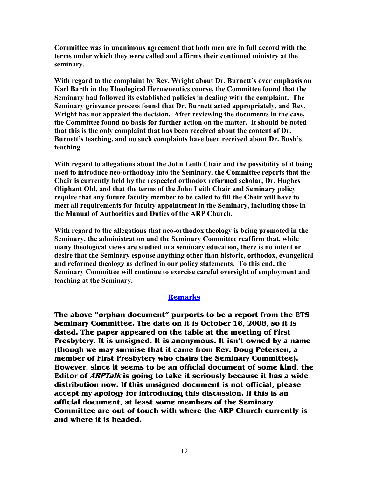**Committee was in unanimous agreement that both men are in full accord with the terms under which they were called and affirms their continued ministry at the seminary.** 

**With regard to the complaint by Rev. Wright about Dr. Burnett's over emphasis on Karl Barth in the Theological Hermeneutics course, the Committee found that the Seminary had followed its established policies in dealing with the complaint. The Seminary grievance process found that Dr. Burnett acted appropriately, and Rev. Wright has not appealed the decision. After reviewing the documents in the case, the Committee found no basis for further action on the matter. It should be noted that this is the only complaint that has been received about the content of Dr. Burnett's teaching, and no such complaints have been received about Dr. Bush's teaching.** 

**With regard to allegations about the John Leith Chair and the possibility of it being used to introduce neo-orthodoxy into the Seminary, the Committee reports that the Chair is currently held by the respected orthodox reformed scholar, Dr. Hughes Oliphant Old, and that the terms of the John Leith Chair and Seminary policy require that any future faculty member to be called to fill the Chair will have to meet all requirements for faculty appointment in the Seminary, including those in the Manual of Authorities and Duties of the ARP Church.** 

**With regard to the allegations that neo-orthodox theology is being promoted in the Seminary, the administration and the Seminary Committee reaffirm that, while many theological views are studied in a seminary education, there is no intent or desire that the Seminary espouse anything other than historic, orthodox, evangelical and reformed theology as defined in our policy statements. To this end, the Seminary Committee will continue to exercise careful oversight of employment and teaching at the Seminary.** 

#### **Remarks**

**The above "orphan document" purports to be a report from the ETS Seminary Committee. The date on it is October 16, 2008, so it is dated. The paper appeared on the table at the meeting of First Presbytery. It is unsigned. It is anonymous. It isn't owned by a name (though we may surmise that it came from Rev. Doug Petersen, a member of First Presbytery who chairs the Seminary Committee). However, since it seems to be an official document of some kind, the Editor of ARPTalk is going to take it seriously because it has a wide distribution now. If this unsigned document is not official, please accept my apology for introducing this discussion. If this is an official document, at least some members of the Seminary Committee are out of touch with where the ARP Church currently is and where it is headed.**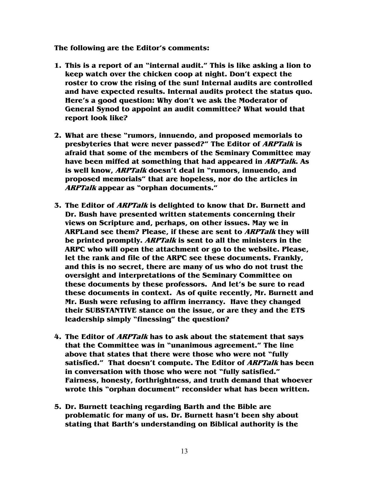**The following are the Editor's comments:** 

- **1. This is a report of an "internal audit." This is like asking a lion to keep watch over the chicken coop at night. Don't expect the roster to crow the rising of the sun! Internal audits are controlled and have expected results. Internal audits protect the status quo. Here's a good question: Why don't we ask the Moderator of General Synod to appoint an audit committee? What would that report look like?**
- **2. What are these "rumors, innuendo, and proposed memorials to presbyteries that were never passed?" The Editor of ARPTalk is afraid that some of the members of the Seminary Committee may have been miffed at something that had appeared in ARPTalk. As is well know, ARPTalk doesn't deal in "rumors, innuendo, and proposed memorials" that are hopeless, nor do the articles in ARPTalk appear as "orphan documents."**
- **3. The Editor of ARPTalk is delighted to know that Dr. Burnett and Dr. Bush have presented written statements concerning their views on Scripture and, perhaps, on other issues. May we in ARPLand see them? Please, if these are sent to ARPTalk they will be printed promptly. ARPTalk is sent to all the ministers in the ARPC who will open the attachment or go to the website. Please, let the rank and file of the ARPC see these documents. Frankly, and this is no secret, there are many of us who do not trust the oversight and interpretations of the Seminary Committee on these documents by these professors. And let's be sure to read these documents in context. As of quite recently, Mr. Burnett and Mr. Bush were refusing to affirm inerrancy. Have they changed their SUBSTANTIVE stance on the issue, or are they and the ETS leadership simply "finessing" the question?**
- **4. The Editor of ARPTalk has to ask about the statement that says that the Committee was in "unanimous agreement." The line above that states that there were those who were not "fully satisfied." That doesn't compute. The Editor of ARPTalk has been in conversation with those who were not "fully satisfied." Fairness, honesty, forthrightness, and truth demand that whoever wrote this "orphan document" reconsider what has been written.**
- **5. Dr. Burnett teaching regarding Barth and the Bible are problematic for many of us. Dr. Burnett hasn't been shy about stating that Barth's understanding on Biblical authority is the**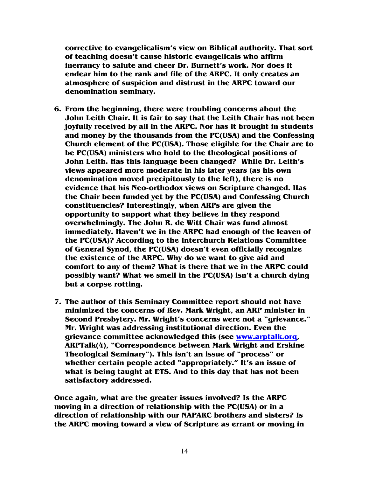**corrective to evangelicalism's view on Biblical authority. That sort of teaching doesn't cause historic evangelicals who affirm inerrancy to salute and cheer Dr. Burnett's work. Nor does it endear him to the rank and file of the ARPC. It only creates an atmosphere of suspicion and distrust in the ARPC toward our denomination seminary.** 

- **6. From the beginning, there were troubling concerns about the John Leith Chair. It is fair to say that the Leith Chair has not been joyfully received by all in the ARPC. Nor has it brought in students and money by the thousands from the PC(USA) and the Confessing Church element of the PC(USA). Those eligible for the Chair are to be PC(USA) ministers who hold to the theological positions of John Leith. Has this language been changed? While Dr. Leith's views appeared more moderate in his later years (as his own denomination moved precipitously to the left), there is no evidence that his Neo-orthodox views on Scripture changed. Has the Chair been funded yet by the PC(USA) and Confessing Church constituencies? Interestingly, when ARPs are given the opportunity to support what they believe in they respond overwhelmingly. The John R. de Witt Chair was fund almost immediately. Haven't we in the ARPC had enough of the leaven of the PC(USA)? According to the Interchurch Relations Committee of General Synod, the PC(USA) doesn't even officially recognize the existence of the ARPC. Why do we want to give aid and comfort to any of them? What is there that we in the ARPC could possibly want? What we smell in the PC(USA) isn't a church dying but a corpse rotting.**
- **7. The author of this Seminary Committee report should not have minimized the concerns of Rev. Mark Wright, an ARP minister in Second Presbytery. Mr. Wright's concerns were not a "grievance." Mr. Wright was addressing institutional direction. Even the grievance committee acknowledged this (see www.arptalk.org, ARPTalk(4), "Correspondence between Mark Wright and Erskine Theological Seminary"). This isn't an issue of "process" or whether certain people acted "appropriately." It's an issue of what is being taught at ETS. And to this day that has not been satisfactory addressed.**

**Once again, what are the greater issues involved? Is the ARPC moving in a direction of relationship with the PC(USA) or in a direction of relationship with our NAPARC brothers and sisters? Is the ARPC moving toward a view of Scripture as errant or moving in**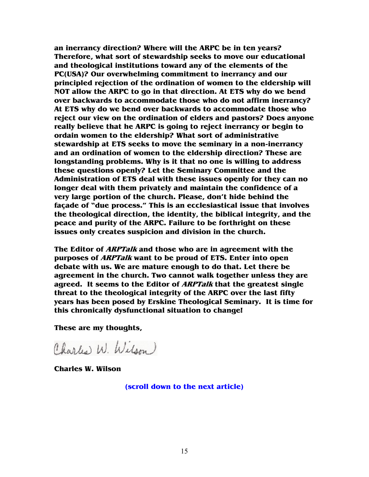**an inerrancy direction? Where will the ARPC be in ten years? Therefore, what sort of stewardship seeks to move our educational and theological institutions toward any of the elements of the PC(USA)? Our overwhelming commitment to inerrancy and our principled rejection of the ordination of women to the eldership will NOT allow the ARPC to go in that direction. At ETS why do we bend over backwards to accommodate those who do not affirm inerrancy? At ETS why do we bend over backwards to accommodate those who reject our view on the ordination of elders and pastors? Does anyone really believe that he ARPC is going to reject inerrancy or begin to ordain women to the eldership? What sort of administrative stewardship at ETS seeks to move the seminary in a non-inerrancy and an ordination of women to the eldership direction? These are longstanding problems. Why is it that no one is willing to address these questions openly? Let the Seminary Committee and the Administration of ETS deal with these issues openly for they can no longer deal with them privately and maintain the confidence of a very large portion of the church. Please, don't hide behind the façade of "due process." This is an ecclesiastical issue that involves the theological direction, the identity, the biblical integrity, and the peace and purity of the ARPC. Failure to be forthright on these issues only creates suspicion and division in the church.** 

**The Editor of ARPTalk and those who are in agreement with the purposes of ARPTalk want to be proud of ETS. Enter into open debate with us. We are mature enough to do that. Let there be agreement in the church. Two cannot walk together unless they are agreed. It seems to the Editor of ARPTalk that the greatest single threat to the theological integrity of the ARPC over the last fifty years has been posed by Erskine Theological Seminary. It is time for this chronically dysfunctional situation to change!** 

**These are my thoughts,** 

Charles W. Wilson)

**Charles W. Wilson** 

**(scroll down to the next article)**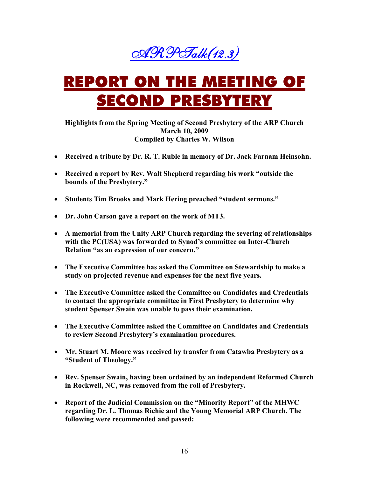

# REPORT ON THE MEETING OF ECOND PRESBYTERY

**Highlights from the Spring Meeting of Second Presbytery of the ARP Church March 10, 2009 Compiled by Charles W. Wilson** 

- **Received a tribute by Dr. R. T. Ruble in memory of Dr. Jack Farnam Heinsohn.**
- **Received a report by Rev. Walt Shepherd regarding his work "outside the bounds of the Presbytery."**
- **Students Tim Brooks and Mark Hering preached "student sermons."**
- **Dr. John Carson gave a report on the work of MT3.**
- **A memorial from the Unity ARP Church regarding the severing of relationships with the PC(USA) was forwarded to Synod's committee on Inter-Church Relation "as an expression of our concern."**
- **The Executive Committee has asked the Committee on Stewardship to make a study on projected revenue and expenses for the next five years.**
- **The Executive Committee asked the Committee on Candidates and Credentials to contact the appropriate committee in First Presbytery to determine why student Spenser Swain was unable to pass their examination.**
- **The Executive Committee asked the Committee on Candidates and Credentials to review Second Presbytery's examination procedures.**
- **Mr. Stuart M. Moore was received by transfer from Catawba Presbytery as a "Student of Theology."**
- **Rev. Spenser Swain, having been ordained by an independent Reformed Church**  in Rockwell, NC, was removed from the roll of Presbytery.
- **Report of the Judicial Commission on the "Minority Report" of the MHWC regarding Dr. L. Thomas Richie and the Young Memorial ARP Church. The following were recommended and passed:**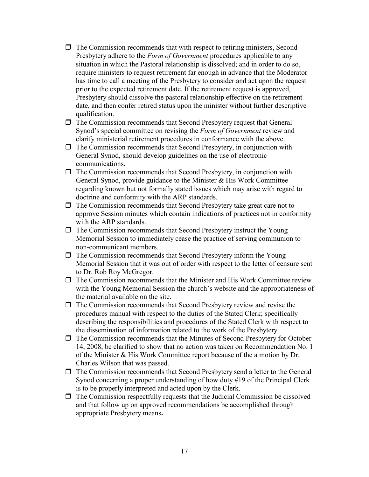- $\Box$  The Commission recommends that with respect to retiring ministers, Second Presbytery adhere to the *Form of Government* procedures applicable to any situation in which the Pastoral relationship is dissolved; and in order to do so, require ministers to request retirement far enough in advance that the Moderator has time to call a meeting of the Presbytery to consider and act upon the request prior to the expected retirement date. If the retirement request is approved, Presbytery should dissolve the pastoral relationship effective on the retirement date, and then confer retired status upon the minister without further descriptive qualification.
- $\Box$  The Commission recommends that Second Presbytery request that General Synod's special committee on revising the *Form of Government* review and clarify ministerial retirement procedures in conformance with the above.
- $\Box$  The Commission recommends that Second Presbytery, in conjunction with General Synod, should develop guidelines on the use of electronic communications.
- $\Box$  The Commission recommends that Second Presbytery, in conjunction with General Synod, provide guidance to the Minister & His Work Committee regarding known but not formally stated issues which may arise with regard to doctrine and conformity with the ARP standards.
- $\Box$  The Commission recommends that Second Presbytery take great care not to approve Session minutes which contain indications of practices not in conformity with the ARP standards.
- $\Box$  The Commission recommends that Second Presbytery instruct the Young Memorial Session to immediately cease the practice of serving communion to non-communicant members.
- $\Box$  The Commission recommends that Second Presbytery inform the Young Memorial Session that it was out of order with respect to the letter of censure sent to Dr. Rob Roy McGregor.
- $\Box$  The Commission recommends that the Minister and His Work Committee review with the Young Memorial Session the church's website and the appropriateness of the material available on the site.
- $\Box$  The Commission recommends that Second Presbytery review and revise the procedures manual with respect to the duties of the Stated Clerk; specifically describing the responsibilities and procedures of the Stated Clerk with respect to the dissemination of information related to the work of the Presbytery.
- $\Box$  The Commission recommends that the Minutes of Second Presbytery for October 14, 2008, be clarified to show that no action was taken on Recommendation No. 1 of the Minister & His Work Committee report because of the a motion by Dr. Charles Wilson that was passed.
- The Commission recommends that Second Presbytery send a letter to the General Synod concerning a proper understanding of how duty #19 of the Principal Clerk is to be properly interpreted and acted upon by the Clerk.
- $\Box$  The Commission respectfully requests that the Judicial Commission be dissolved and that follow up on approved recommendations be accomplished through appropriate Presbytery means**.**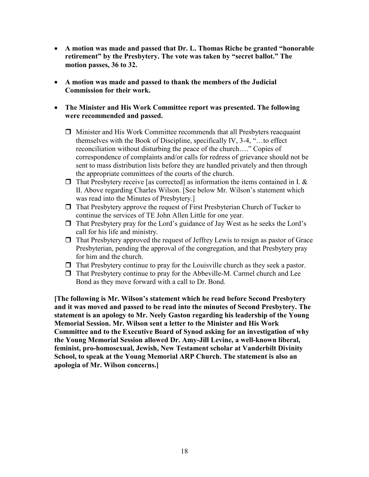- **A motion was made and passed that Dr. L. Thomas Riche be granted "honorable retirement" by the Presbytery. The vote was taken by "secret ballot." The motion passes, 36 to 32.**
- **A motion was made and passed to thank the members of the Judicial Commission for their work.**
- **The Minister and His Work Committee report was presented. The following were recommended and passed.** 
	- $\Box$  Minister and His Work Committee recommends that all Presbyters reacquaint themselves with the Book of Discipline, specifically IV, 3-4, "…to effect reconciliation without disturbing the peace of the church…." Copies of correspondence of complaints and/or calls for redress of grievance should not be sent to mass distribution lists before they are handled privately and then through the appropriate committees of the courts of the church.
	- $\Box$  That Presbytery receive [as corrected] as information the items contained in I. & II. Above regarding Charles Wilson. [See below Mr. Wilson's statement which was read into the Minutes of Presbytery.]
	- $\Box$  That Presbytery approve the request of First Presbyterian Church of Tucker to continue the services of TE John Allen Little for one year.
	- $\Box$  That Presbytery pray for the Lord's guidance of Jay West as he seeks the Lord's call for his life and ministry.
	- $\Box$  That Presbytery approved the request of Jeffrey Lewis to resign as pastor of Grace Presbyterian, pending the approval of the congregation, and that Presbytery pray for him and the church.
	- $\Box$  That Presbytery continue to pray for the Louisville church as they seek a pastor.
	- $\Box$  That Presbytery continue to pray for the Abbeville-M. Carmel church and Lee Bond as they move forward with a call to Dr. Bond.

**[The following is Mr. Wilson's statement which he read before Second Presbytery and it was moved and passed to be read into the minutes of Second Presbytery. The**  statement is an apology to Mr. Neely Gaston regarding his leadership of the Young **Memorial Session. Mr. Wilson sent a letter to the Minister and His Work Committee and to the Executive Board of Synod asking for an investigation of why the Young Memorial Session allowed Dr. Amy-Jill Levine, a well-known liberal, feminist, pro-homosexual, Jewish, New Testament scholar at Vanderbilt Divinity School, to speak at the Young Memorial ARP Church. The statement is also an apologia of Mr. Wilson concerns.]**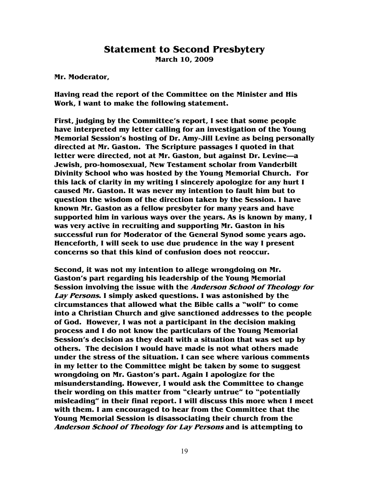#### **Statement to Second Presbytery March 10, 2009**

**Mr. Moderator,** 

**Having read the report of the Committee on the Minister and His Work, I want to make the following statement.** 

**First, judging by the Committee's report, I see that some people have interpreted my letter calling for an investigation of the Young Memorial Session's hosting of Dr. Amy-Jill Levine as being personally directed at Mr. Gaston. The Scripture passages I quoted in that letter were directed, not at Mr. Gaston, but against Dr. Levine—a Jewish, pro-homosexual, New Testament scholar from Vanderbilt Divinity School who was hosted by the Young Memorial Church. For this lack of clarity in my writing I sincerely apologize for any hurt I caused Mr. Gaston. It was never my intention to fault him but to question the wisdom of the direction taken by the Session. I have known Mr. Gaston as a fellow presbyter for many years and have supported him in various ways over the years. As is known by many, I was very active in recruiting and supporting Mr. Gaston in his successful run for Moderator of the General Synod some years ago. Henceforth, I will seek to use due prudence in the way I present concerns so that this kind of confusion does not reoccur.** 

**Second, it was not my intention to allege wrongdoing on Mr. Gaston's part regarding his leadership of the Young Memorial Session involving the issue with the Anderson School of Theology for Lay Persons. I simply asked questions. I was astonished by the circumstances that allowed what the Bible calls a "wolf" to come into a Christian Church and give sanctioned addresses to the people of God. However, I was not a participant in the decision making process and I do not know the particulars of the Young Memorial Session's decision as they dealt with a situation that was set up by others. The decision I would have made is not what others made under the stress of the situation. I can see where various comments in my letter to the Committee might be taken by some to suggest wrongdoing on Mr. Gaston's part. Again I apologize for the misunderstanding. However, I would ask the Committee to change their wording on this matter from "clearly untrue" to "potentially misleading" in their final report. I will discuss this more when I meet with them. I am encouraged to hear from the Committee that the Young Memorial Session is disassociating their church from the Anderson School of Theology for Lay Persons and is attempting to**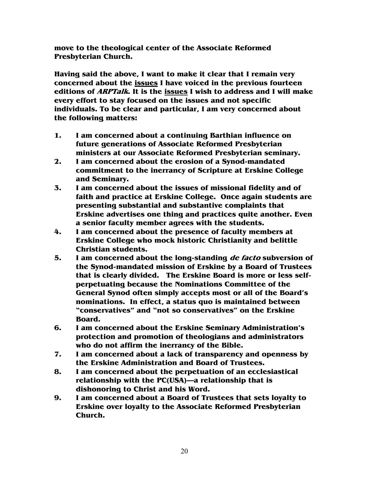**move to the theological center of the Associate Reformed Presbyterian Church.** 

**Having said the above, I want to make it clear that I remain very concerned about the issues I have voiced in the previous fourteen editions of ARPTalk. It is the issues I wish to address and I will make every effort to stay focused on the issues and not specific individuals. To be clear and particular, I am very concerned about the following matters:** 

- **1. I am concerned about a continuing Barthian influence on future generations of Associate Reformed Presbyterian ministers at our Associate Reformed Presbyterian seminary.**
- **2. I am concerned about the erosion of a Synod-mandated commitment to the inerrancy of Scripture at Erskine College and Seminary.**
- **3. I am concerned about the issues of missional fidelity and of faith and practice at Erskine College. Once again students are presenting substantial and substantive complaints that Erskine advertises one thing and practices quite another. Even a senior faculty member agrees with the students.**
- **4. I am concerned about the presence of faculty members at Erskine College who mock historic Christianity and belittle Christian students.**
- **5. I am concerned about the long-standing de facto subversion of the Synod-mandated mission of Erskine by a Board of Trustees that is clearly divided. The Erskine Board is more or less selfperpetuating because the Nominations Committee of the General Synod often simply accepts most or all of the Board's nominations. In effect, a status quo is maintained between "conservatives" and "not so conservatives" on the Erskine Board.**
- **6. I am concerned about the Erskine Seminary Administration's protection and promotion of theologians and administrators who do not affirm the inerrancy of the Bible.**
- **7. I am concerned about a lack of transparency and openness by the Erskine Administration and Board of Trustees.**
- **8. I am concerned about the perpetuation of an ecclesiastical relationship with the PC(USA)—a relationship that is dishonoring to Christ and his Word.**
- **9. I am concerned about a Board of Trustees that sets loyalty to Erskine over loyalty to the Associate Reformed Presbyterian Church.**